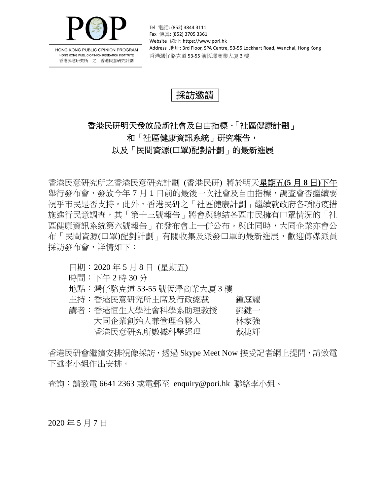

HONG KONG PUBLIC OPINION PROGRAM HONG KONG PUBLIC OPINION RESEARCH INSTITUTE 香港民意研究所 之 香港民意研究計劃

Tel 電話: (852) 3844 3111 Fax 傳真: (852) 3705 3361 Website 網址: https://www.pori.hk Address 地址: 3rd Floor, SPA Centre, 53-55 Lockhart Road, Wanchai, Hong Kong 香港灣仔駱克道 53‐55 號恆澤商業大廈 3 樓

## 採訪邀請

# 香港民研明天發放最新社會及自由指標、「社區健康計劃」 和「社區健康資訊系統」研究報告, 以及「民間資源**(**口罩**)**配對計劃」的最新進展

香港民意研究所之香港民意研究計劃 (香港民研) 將於明天星期五**(5** 月 **8** 日**)**下午 舉行發布會,發放今年 7 月 1 日前的最後一次社會及自由指標,調查會否繼續要 視乎市民是否支持。此外,香港民研之「社區健康計劃」繼續就政府各項防疫措 施進行民意調查,其「第十三號報告」將會與總結各區市民擁有口罩情況的「社 區健康資訊系統第六號報告」在發布會上一併公布。與此同時,大同企業亦會公 布 「民間資源(口罩)配對計劃 」 有關收集及派發口罩的最新進展,歡迎傳媒派員 採訪發布會,詳情如下:

#### 日期: 2020 年 5 月 8 日 (星期五)

- 時間:下午 2 時 30 分
- 地點:灣仔駱克道 53-55 號恆澤商業大廈 3 樓
- 主持:香港民意研究所主席及行政總裁 鍾庭耀
- 講者:香港恒生大學社會科學系助理教授 鄧鍵一 大同企業創始人兼管理合夥人 林家強 香港民意研究所數據科學經理 戴捷輝

香港民研會繼續安排視像採訪,透過 Skype Meet Now 接受記者網上提問,請致電 下述李小姐作出安排。

查詢:請致電 6641 2363 或電郵至 enquiry@pori.hk 聯絡李小姐。

2020 年 5 月 7 日